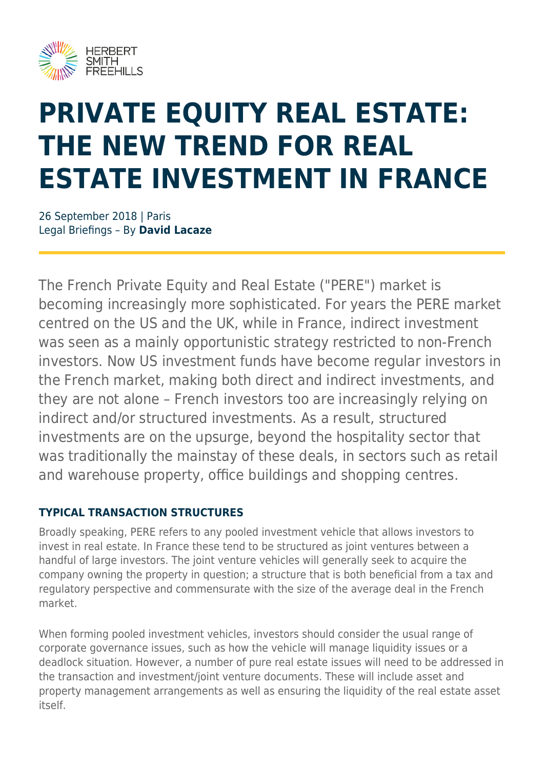

# **PRIVATE EQUITY REAL ESTATE: THE NEW TREND FOR REAL ESTATE INVESTMENT IN FRANCE**

26 September 2018 | Paris Legal Briefings – By **David Lacaze**

The French Private Equity and Real Estate ("PERE") market is becoming increasingly more sophisticated. For years the PERE market centred on the US and the UK, while in France, indirect investment was seen as a mainly opportunistic strategy restricted to non-French investors. Now US investment funds have become regular investors in the French market, making both direct and indirect investments, and they are not alone – French investors too are increasingly relying on indirect and/or structured investments. As a result, structured investments are on the upsurge, beyond the hospitality sector that was traditionally the mainstay of these deals, in sectors such as retail and warehouse property, office buildings and shopping centres.

#### **TYPICAL TRANSACTION STRUCTURES**

Broadly speaking, PERE refers to any pooled investment vehicle that allows investors to invest in real estate. In France these tend to be structured as joint ventures between a handful of large investors. The joint venture vehicles will generally seek to acquire the company owning the property in question; a structure that is both beneficial from a tax and regulatory perspective and commensurate with the size of the average deal in the French market.

When forming pooled investment vehicles, investors should consider the usual range of corporate governance issues, such as how the vehicle will manage liquidity issues or a deadlock situation. However, a number of pure real estate issues will need to be addressed in the transaction and investment/joint venture documents. These will include asset and property management arrangements as well as ensuring the liquidity of the real estate asset itself.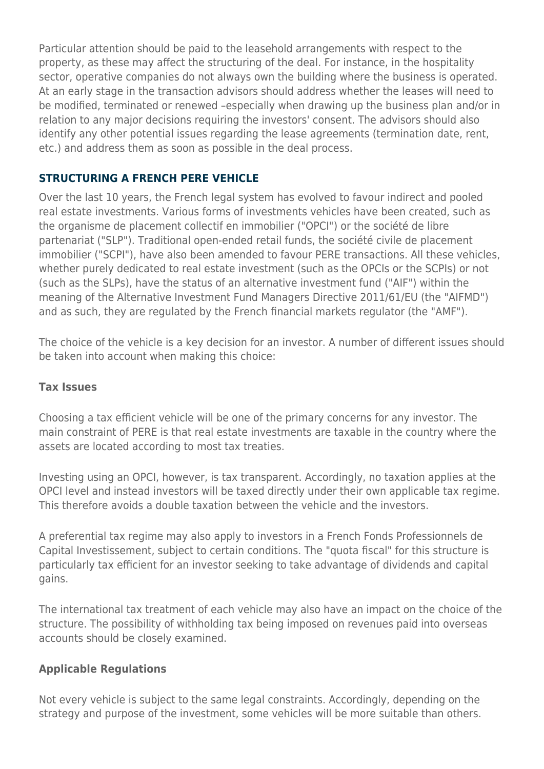Particular attention should be paid to the leasehold arrangements with respect to the property, as these may affect the structuring of the deal. For instance, in the hospitality sector, operative companies do not always own the building where the business is operated. At an early stage in the transaction advisors should address whether the leases will need to be modified, terminated or renewed –especially when drawing up the business plan and/or in relation to any major decisions requiring the investors' consent. The advisors should also identify any other potential issues regarding the lease agreements (termination date, rent, etc.) and address them as soon as possible in the deal process.

## **STRUCTURING A FRENCH PERE VEHICLE**

Over the last 10 years, the French legal system has evolved to favour indirect and pooled real estate investments. Various forms of investments vehicles have been created, such as the organisme de placement collectif en immobilier ("OPCI") or the société de libre partenariat ("SLP"). Traditional open-ended retail funds, the société civile de placement immobilier ("SCPI"), have also been amended to favour PERE transactions. All these vehicles, whether purely dedicated to real estate investment (such as the OPCIs or the SCPIs) or not (such as the SLPs), have the status of an alternative investment fund ("AIF") within the meaning of the Alternative Investment Fund Managers Directive 2011/61/EU (the "AIFMD") and as such, they are regulated by the French financial markets regulator (the "AMF").

The choice of the vehicle is a key decision for an investor. A number of different issues should be taken into account when making this choice:

#### **Tax Issues**

Choosing a tax efficient vehicle will be one of the primary concerns for any investor. The main constraint of PERE is that real estate investments are taxable in the country where the assets are located according to most tax treaties.

Investing using an OPCI, however, is tax transparent. Accordingly, no taxation applies at the OPCI level and instead investors will be taxed directly under their own applicable tax regime. This therefore avoids a double taxation between the vehicle and the investors.

A preferential tax regime may also apply to investors in a French Fonds Professionnels de Capital Investissement, subject to certain conditions. The "quota fiscal" for this structure is particularly tax efficient for an investor seeking to take advantage of dividends and capital gains.

The international tax treatment of each vehicle may also have an impact on the choice of the structure. The possibility of withholding tax being imposed on revenues paid into overseas accounts should be closely examined.

#### **Applicable Regulations**

Not every vehicle is subject to the same legal constraints. Accordingly, depending on the strategy and purpose of the investment, some vehicles will be more suitable than others.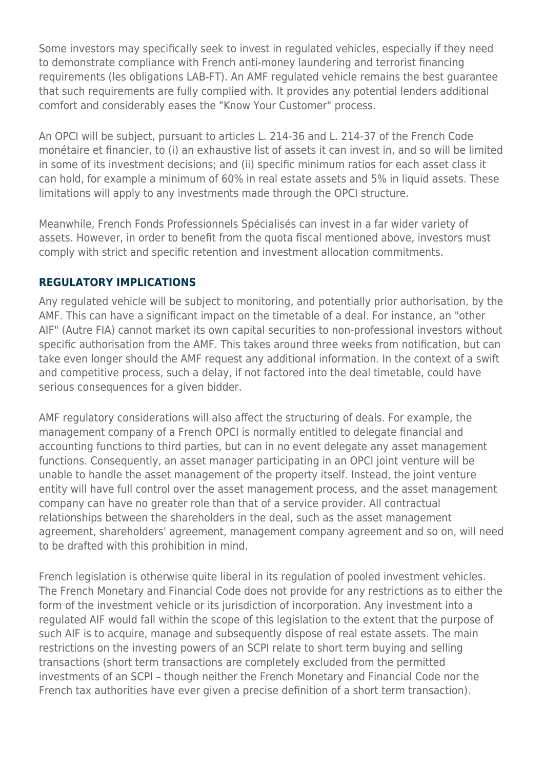Some investors may specifically seek to invest in regulated vehicles, especially if they need to demonstrate compliance with French anti-money laundering and terrorist financing requirements (les obligations LAB-FT). An AMF regulated vehicle remains the best guarantee that such requirements are fully complied with. It provides any potential lenders additional comfort and considerably eases the "Know Your Customer" process.

An OPCI will be subject, pursuant to articles L. 214-36 and L. 214-37 of the French Code monétaire et financier, to (i) an exhaustive list of assets it can invest in, and so will be limited in some of its investment decisions; and (ii) specific minimum ratios for each asset class it can hold, for example a minimum of 60% in real estate assets and 5% in liquid assets. These limitations will apply to any investments made through the OPCI structure.

Meanwhile, French Fonds Professionnels Spécialisés can invest in a far wider variety of assets. However, in order to benefit from the quota fiscal mentioned above, investors must comply with strict and specific retention and investment allocation commitments.

## **REGULATORY IMPLICATIONS**

Any regulated vehicle will be subject to monitoring, and potentially prior authorisation, by the AMF. This can have a significant impact on the timetable of a deal. For instance, an "other AIF" (Autre FIA) cannot market its own capital securities to non-professional investors without specific authorisation from the AMF. This takes around three weeks from notification, but can take even longer should the AMF request any additional information. In the context of a swift and competitive process, such a delay, if not factored into the deal timetable, could have serious consequences for a given bidder.

AMF regulatory considerations will also affect the structuring of deals. For example, the management company of a French OPCI is normally entitled to delegate financial and accounting functions to third parties, but can in no event delegate any asset management functions. Consequently, an asset manager participating in an OPCI joint venture will be unable to handle the asset management of the property itself. Instead, the joint venture entity will have full control over the asset management process, and the asset management company can have no greater role than that of a service provider. All contractual relationships between the shareholders in the deal, such as the asset management agreement, shareholders' agreement, management company agreement and so on, will need to be drafted with this prohibition in mind.

French legislation is otherwise quite liberal in its regulation of pooled investment vehicles. The French Monetary and Financial Code does not provide for any restrictions as to either the form of the investment vehicle or its jurisdiction of incorporation. Any investment into a regulated AIF would fall within the scope of this legislation to the extent that the purpose of such AIF is to acquire, manage and subsequently dispose of real estate assets. The main restrictions on the investing powers of an SCPI relate to short term buying and selling transactions (short term transactions are completely excluded from the permitted investments of an SCPI – though neither the French Monetary and Financial Code nor the French tax authorities have ever given a precise definition of a short term transaction).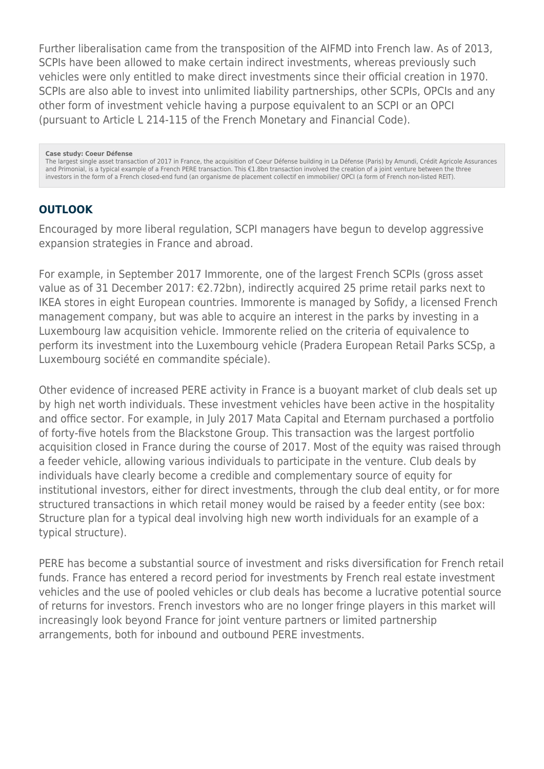Further liberalisation came from the transposition of the AIFMD into French law. As of 2013, SCPIs have been allowed to make certain indirect investments, whereas previously such vehicles were only entitled to make direct investments since their official creation in 1970. SCPIs are also able to invest into unlimited liability partnerships, other SCPIs, OPCIs and any other form of investment vehicle having a purpose equivalent to an SCPI or an OPCI (pursuant to Article L 214-115 of the French Monetary and Financial Code).

**Case study: Coeur Défense**

The largest single asset transaction of 2017 in France, the acquisition of Coeur Défense building in La Défense (Paris) by Amundi, Crédit Agricole Assurances and Primonial, is a typical example of a French PERE transaction. This €1.8bn transaction involved the creation of a joint venture between the three investors in the form of a French closed-end fund (an organisme de placement collectif en immobilier/ OPCI (a form of French non-listed REIT).

#### **OUTLOOK**

Encouraged by more liberal regulation, SCPI managers have begun to develop aggressive expansion strategies in France and abroad.

For example, in September 2017 Immorente, one of the largest French SCPIs (gross asset value as of 31 December 2017: €2.72bn), indirectly acquired 25 prime retail parks next to IKEA stores in eight European countries. Immorente is managed by Sofidy, a licensed French management company, but was able to acquire an interest in the parks by investing in a Luxembourg law acquisition vehicle. Immorente relied on the criteria of equivalence to perform its investment into the Luxembourg vehicle (Pradera European Retail Parks SCSp, a Luxembourg société en commandite spéciale).

Other evidence of increased PERE activity in France is a buoyant market of club deals set up by high net worth individuals. These investment vehicles have been active in the hospitality and office sector. For example, in July 2017 Mata Capital and Eternam purchased a portfolio of forty-five hotels from the Blackstone Group. This transaction was the largest portfolio acquisition closed in France during the course of 2017. Most of the equity was raised through a feeder vehicle, allowing various individuals to participate in the venture. Club deals by individuals have clearly become a credible and complementary source of equity for institutional investors, either for direct investments, through the club deal entity, or for more structured transactions in which retail money would be raised by a feeder entity (see box: Structure plan for a typical deal involving high new worth individuals for an example of a typical structure).

PERE has become a substantial source of investment and risks diversification for French retail funds. France has entered a record period for investments by French real estate investment vehicles and the use of pooled vehicles or club deals has become a lucrative potential source of returns for investors. French investors who are no longer fringe players in this market will increasingly look beyond France for joint venture partners or limited partnership arrangements, both for inbound and outbound PERE investments.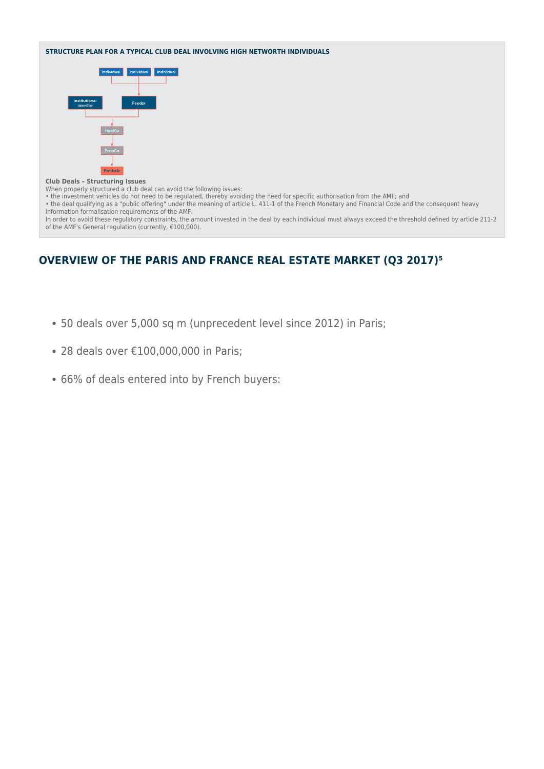#### **STRUCTURE PLAN FOR A TYPICAL CLUB DEAL INVOLVING HIGH NETWORTH INDIVIDUALS**



#### **Club Deals – Structuring Issues**

When properly structured a club deal can avoid the following issues:

• the investment vehicles do not need to be regulated, thereby avoiding the need for specific authorisation from the AMF; and

• the deal qualifying as a "public offering" under the meaning of article L. 411-1 of the French Monetary and Financial Code and the consequent heavy information formalisation requirements of the AMF. In order to avoid these regulatory constraints, the amount invested in the deal by each individual must always exceed the threshold defined by article 211-2 of the AMF's General regulation (currently, €100,000).

**OVERVIEW OF THE PARIS AND FRANCE REAL ESTATE MARKET (Q3 2017)<sup>5</sup>** 

- 50 deals over 5,000 sq m (unprecedent level since 2012) in Paris;
- 28 deals over €100,000,000 in Paris;
- 66% of deals entered into by French buyers: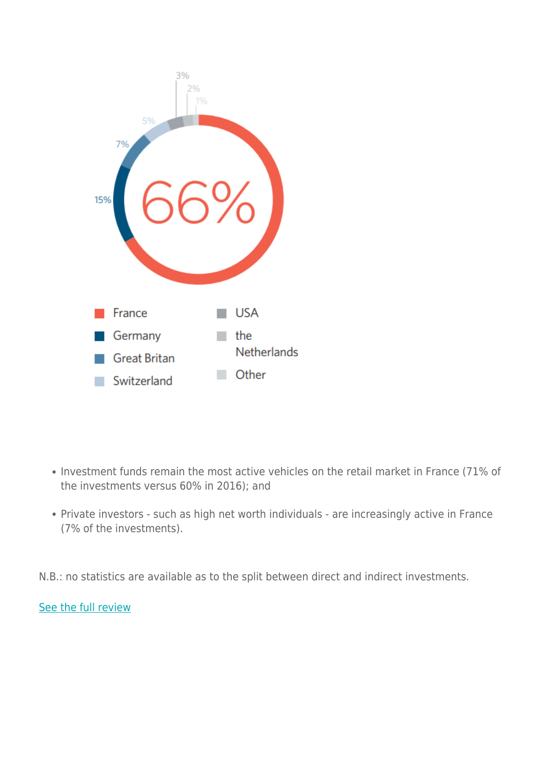

- Investment funds remain the most active vehicles on the retail market in France (71% of the investments versus 60% in 2016); and
- Private investors such as high net worth individuals are increasingly active in France (7% of the investments).

N.B.: no statistics are available as to the split between direct and indirect investments.

[See the full review](https://www.herbertsmithfreehills.com/latest-thinking/eu-pe-review)